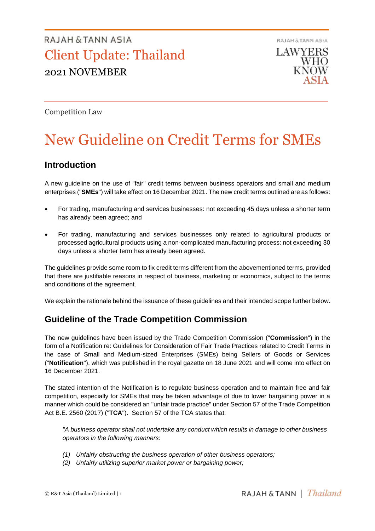RAJAH & TANN ASIA **LAWYERS** WHO KNOW

Competition Law

# New Guideline on Credit Terms for SMEs

### **Introduction**

A new guideline on the use of "fair" credit terms between business operators and small and medium enterprises ("**SMEs**") will take effect on 16 December 2021. The new credit terms outlined are as follows:

- For trading, manufacturing and services businesses: not exceeding 45 days unless a shorter term has already been agreed; and
- For trading, manufacturing and services businesses only related to agricultural products or processed agricultural products using a non-complicated manufacturing process: not exceeding 30 days unless a shorter term has already been agreed.

The guidelines provide some room to fix credit terms different from the abovementioned terms, provided that there are justifiable reasons in respect of business, marketing or economics, subject to the terms and conditions of the agreement.

We explain the rationale behind the issuance of these guidelines and their intended scope further below.

### **Guideline of the Trade Competition Commission**

The new guidelines have been issued by the Trade Competition Commission ("**Commission**") in the form of a Notification re: Guidelines for Consideration of Fair Trade Practices related to Credit Terms in the case of Small and Medium-sized Enterprises (SMEs) being Sellers of Goods or Services ("**Notification**"), which was published in the royal gazette on 18 June 2021 and will come into effect on 16 December 2021.

The stated intention of the Notification is to regulate business operation and to maintain free and fair competition, especially for SMEs that may be taken advantage of due to lower bargaining power in a manner which could be considered an "unfair trade practice" under Section 57 of the Trade Competition Act B.E. 2560 (2017) ("**TCA**"). Section 57 of the TCA states that:

*"A business operator shall not undertake any conduct which results in damage to other business operators in the following manners:*

- *(1) Unfairly obstructing the business operation of other business operators;*
- *(2) Unfairly utilizing superior market power or bargaining power;*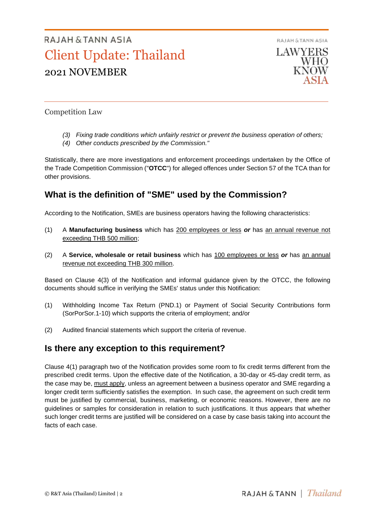

Competition Law

- *(3) Fixing trade conditions which unfairly restrict or prevent the business operation of others;*
- *(4) Other conducts prescribed by the Commission."*

Statistically, there are more investigations and enforcement proceedings undertaken by the Office of the Trade Competition Commission ("**OTCC**") for alleged offences under Section 57 of the TCA than for other provisions.

### **What is the definition of "SME" used by the Commission?**

According to the Notification, SMEs are business operators having the following characteristics:

- (1) A **Manufacturing business** which has 200 employees or less *or* has an annual revenue not exceeding THB 500 million;
- (2) A **Service, wholesale or retail business** which has 100 employees or less *or* has an annual revenue not exceeding THB 300 million.

Based on Clause 4(3) of the Notification and informal guidance given by the OTCC, the following documents should suffice in verifying the SMEs' status under this Notification:

- (1) Withholding Income Tax Return (PND.1) or Payment of Social Security Contributions form (SorPorSor.1-10) which supports the criteria of employment; and/or
- (2) Audited financial statements which support the criteria of revenue.

### **Is there any exception to this requirement?**

Clause 4(1) paragraph two of the Notification provides some room to fix credit terms different from the prescribed credit terms. Upon the effective date of the Notification, a 30-day or 45-day credit term, as the case may be, must apply, unless an agreement between a business operator and SME regarding a longer credit term sufficiently satisfies the exemption. In such case, the agreement on such credit term must be justified by commercial, business, marketing, or economic reasons. However, there are no guidelines or samples for consideration in relation to such justifications. It thus appears that whether such longer credit terms are justified will be considered on a case by case basis taking into account the facts of each case.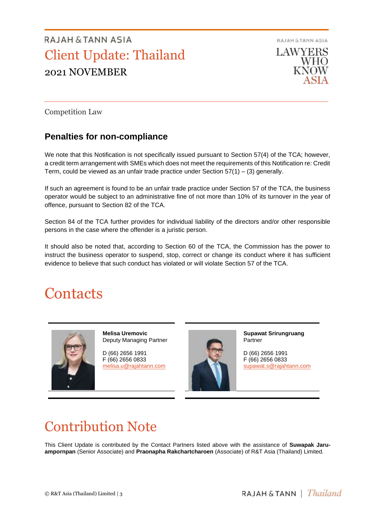

Competition Law

### **Penalties for non-compliance**

We note that this Notification is not specifically issued pursuant to Section 57(4) of the TCA; however, a credit term arrangement with SMEs which does not meet the requirements of this Notification re: Credit Term, could be viewed as an unfair trade practice under Section  $57(1) - (3)$  generally.

If such an agreement is found to be an unfair trade practice under Section 57 of the TCA, the business operator would be subject to an administrative fine of not more than 10% of its turnover in the year of offence, pursuant to Section 82 of the TCA.

Section 84 of the TCA further provides for individual liability of the directors and/or other responsible persons in the case where the offender is a juristic person.

It should also be noted that, according to Section 60 of the TCA, the Commission has the power to instruct the business operator to suspend, stop, correct or change its conduct where it has sufficient evidence to believe that such conduct has violated or will violate Section 57 of the TCA.

## **Contacts**



**Melisa Uremovic** Deputy Managing Partner

D (66) 2656 1991 F (66) 2656 0833 [melisa.u@rajahtann.com](mailto:melisa.u@rajahtann.com)



**Supawat Srirungruang** Partner

D (66) 2656 1991 F (66) 2656 0833 [supawat.s@rajahtann.com](mailto:supawat.s@rajahtann.com)

## Contribution Note

This Client Update is contributed by the Contact Partners listed above with the assistance of **Suwapak Jaruampornpan** (Senior Associate) and **Praonapha Rakchartcharoen** (Associate) of R&T Asia (Thailand) Limited.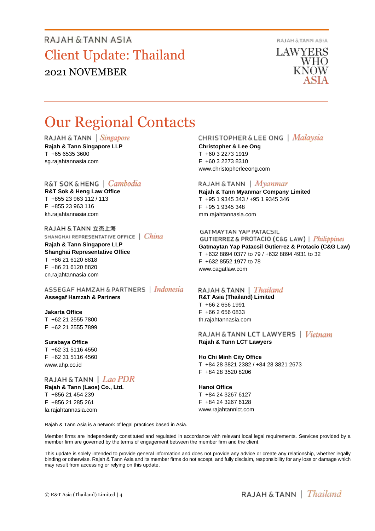RAJAH & TANN ASIA

**LAWYERS** WHO KNOW

## Our Regional Contacts

RAJAH & TANN | Singapore **Rajah & Tann Singapore LLP** T +65 6535 3600 sg.rajahtannasia.com

#### R&T SOK&HENG | Cambodia

**R&T Sok & Heng Law Office** T +855 23 963 112 / 113 F +855 23 963 116 kh.rajahtannasia.com

#### RAJAH & TANN 立杰上海 SHANGHAI REPRESENTATIVE OFFICE | China

**Rajah & Tann Singapore LLP Shanghai Representative Office** T +86 21 6120 8818 F +86 21 6120 8820 cn.rajahtannasia.com

#### ASSEGAF HAMZAH & PARTNERS | Indonesia **Assegaf Hamzah & Partners**

#### **Jakarta Office**

T +62 21 2555 7800 F +62 21 2555 7899

#### **Surabaya Office**

T +62 31 5116 4550 F +62 31 5116 4560 www.ahp.co.id

RAJAH & TANN  $|$  Lao PDR **Rajah & Tann (Laos) Co., Ltd.**

T +856 21 454 239 F +856 21 285 261 la.rajahtannasia.com

#### **CHRISTOPHER & LEE ONG** | *Malaysia*

**Christopher & Lee Ong** T +60 3 2273 1919 F +60 3 2273 8310 www.christopherleeong.com

#### RAJAH & TANN  $\mid$  *Myanmar*

**Rajah & Tann Myanmar Company Limited** T +95 1 9345 343 / +95 1 9345 346 F +95 1 9345 348 mm.rajahtannasia.com

#### **GATMAYTAN YAP PATACSIL**

**GUTIERREZ & PROTACIO (C&G LAW)** | *Philippines* **Gatmaytan Yap Patacsil Gutierrez & Protacio (C&G Law)**  T +632 8894 0377 to 79 / +632 8894 4931 to 32 F +632 8552 1977 to 78 www.cagatlaw.com

#### RAJAH & TANN | *Thailand*

**R&T Asia (Thailand) Limited** T +66 2 656 1991 F +66 2 656 0833 th.rajahtannasia.com

#### RAJAH & TANN LCT LAWYERS | Vietnam **Rajah & Tann LCT Lawyers**

#### **Ho Chi Minh City Office**

T +84 28 3821 2382 / +84 28 3821 2673 F +84 28 3520 8206

#### **Hanoi Office**

T +84 24 3267 6127 F +84 24 3267 6128 www.rajahtannlct.com

Rajah & Tann Asia is a network of legal practices based in Asia.

Member firms are independently constituted and regulated in accordance with relevant local legal requirements. Services provided by a member firm are governed by the terms of engagement between the member firm and the client.

This update is solely intended to provide general information and does not provide any advice or create any relationship, whether legally binding or otherwise. Rajah & Tann Asia and its member firms do not accept, and fully disclaim, responsibility for any loss or damage which may result from accessing or relying on this update.